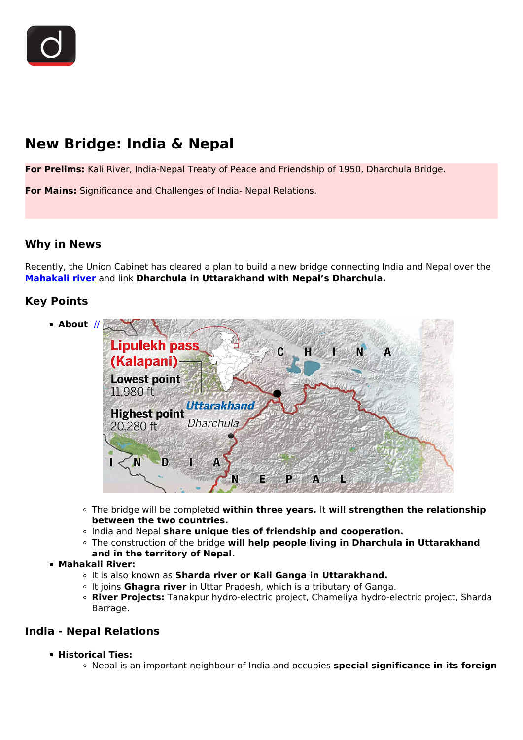

# **New Bridge: India & Nepal**

**For Prelims:** Kali River, India-Nepal Treaty of Peace and Friendship of 1950, Dharchula Bridge.

**For Mains:** Significance and Challenges of India- Nepal Relations.

## **Why in News**

Recently, the Union Cabinet has cleared a plan to build a new bridge connecting India and Nepal over the **[Mahakali river](/daily-updates/daily-news-analysis/kalapani-territory)** and link **Dharchula in Uttarakhand with Nepal's Dharchula.**

## **Key Points**



- The bridge will be completed **within three years.** It **will strengthen the relationship between the two countries.**
- India and Nepal **share unique ties of friendship and cooperation.**
- The construction of the bridge **will help people living in Dharchula in Uttarakhand**

## **and in the territory of Nepal.**

- **Mahakali River:**
	- It is also known as **Sharda river or Kali Ganga in Uttarakhand.**
	- It joins **Ghagra river** in Uttar Pradesh, which is a tributary of Ganga.
	- **River Projects:** Tanakpur hydro-electric project, Chameliya hydro-electric project, Sharda Barrage.

## **India - Nepal Relations**

- **Historical Ties:**
	- Nepal is an important neighbour of India and occupies **special significance in its foreign**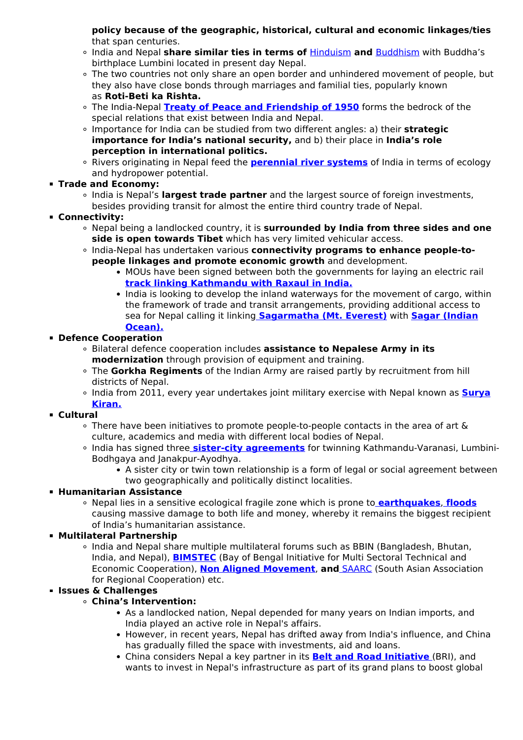**policy because of the geographic, historical, cultural and economic linkages/ties** that span centuries.

- India and Nepal **share similar ties in terms of** [Hinduism](/to-the-points/paper4/schools-of-indian-philosophy) **and** [Buddhism](/to-the-points/paper1/buddhism-in-india) with Buddha's birthplace Lumbini located in present day Nepal.
- The two countries not only share an open border and unhindered movement of people, but they also have close bonds through marriages and familial ties, popularly known as **Roti-Beti ka Rishta.**
- The India-Nepal **[Treaty of Peace and Friendship of 1950](/loksabha-rajyasabha-discussions/the-big-picture-downturn-in-indo-nepal-relations)** forms the bedrock of the special relations that exist between India and Nepal.
- Importance for India can be studied from two different angles: a) their **strategic importance for India's national security,** and b) their place in **India's role perception in international politics.**
- Rivers originating in Nepal feed the **[perennial river systems](/to-the-points/paper1/drainage-patterns-and-drainage-systems-of-india)** of India in terms of ecology and hydropower potential.
- **Trade and Economy:**
	- India is Nepal's **largest trade partner** and the largest source of foreign investments, besides providing transit for almost the entire third country trade of Nepal.
- **Connectivity:**
	- Nepal being a landlocked country, it is **surrounded by India from three sides and one side is open towards Tibet** which has very limited vehicular access.
	- **India-Nepal has undertaken various connectivity programs to enhance people-topeople linkages and promote economic growth** and development.
		- MOUs have been signed between both the governments for laying an electric rail **[track linking Kathmandu with Raxaul in India.](/daily-updates/daily-news-analysis/rail-link-between-nepal-and-india)**
		- India is looking to develop the inland waterways for the movement of cargo, within the framework of trade and transit arrangements, providing additional access to sea for Nepal calling it linking **[Sagarmatha \(Mt. Everest\)](/daily-updates/daily-news-analysis/new-height-for-mount-everest)** with **[Sagar \(Indian](/daily-updates/daily-news-analysis/a-secure-indian-ocean) [Ocean\).](/daily-updates/daily-news-analysis/a-secure-indian-ocean)**
- **Defence Cooperation**
	- Bilateral defence cooperation includes **assistance to Nepalese Army in its modernization** through provision of equipment and training.
	- The **Gorkha Regiments** of the Indian Army are raised partly by recruitment from hill districts of Nepal.
	- India from 2011, every year undertakes joint military exercise with Nepal known as **[Surya](/daily-updates/daily-news-analysis/surya-kiran-xiv) [Kiran.](/daily-updates/daily-news-analysis/surya-kiran-xiv)**
- **Cultural**
	- There have been initiatives to promote people-to-people contacts in the area of art & culture, academics and media with different local bodies of Nepal.
	- India has signed three **[sister-city agreements](/daily-updates/daily-news-analysis/kobe-ahmedabad-sister-cities#:~:text=In%202013%2C%20India%20signed%20the,%2DChengdu%20and%20Kolkata%2DKunming.)** for twinning Kathmandu-Varanasi, Lumbini-Bodhgaya and Janakpur-Ayodhya.
		- A sister city or twin town relationship is a form of legal or social agreement between two geographically and politically distinct localities.

#### **Humanitarian Assistance**

Nepal lies in a sensitive ecological fragile zone which is prone to **[earthquakes](/to-the-points/paper1/earthquake-4)**, **[floods](/daily-updates/daily-news-editorials/flood-management-in-india)** causing massive damage to both life and money, whereby it remains the biggest recipient of India's humanitarian assistance.

## **Multilateral Partnership**

o India and Nepal share multiple multilateral forums such as BBIN (Bangladesh, Bhutan, India, and Nepal), **[BIMSTEC](/important-institutions/drishti-specials-important-institutions-international-institution/drishti-specials-important-international-bimstec)** (Bay of Bengal Initiative for Multi Sectoral Technical and Economic Cooperation), **[Non Aligned Movement](/to-the-points/Paper2/non-aligned-movement-nam)**, **and** [SAARC](/important-institutions/drishti-specials-important-institutions-international-institution/south-asian-association-for-regional-cooperation-saarc) (South Asian Association for Regional Cooperation) etc.

## **Issues & Challenges**

#### **China's Intervention:**

- As a landlocked nation, Nepal depended for many years on Indian imports, and India played an active role in Nepal's affairs.
- However, in recent years, Nepal has drifted away from India's influence, and China has gradually filled the space with investments, aid and loans.
- China considers Nepal a key partner in its **[Belt and Road Initiative](/daily-updates/daily-news-editorials/belt-and-road-initiative-perspectives-from-india)** (BRI), and wants to invest in Nepal's infrastructure as part of its grand plans to boost global